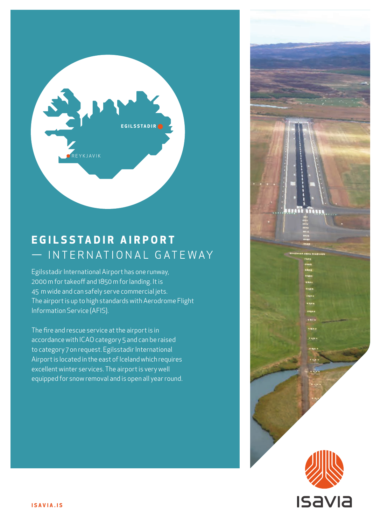

## **E G I L S S TA D I R A I R P O R T**  - INTERNATIONAL GATEWAY

Egilsstadir International Airport has one runway, 2000 m for takeoff and 1850 m for landing. It is 45 m wide and can safely serve commercial jets. The airport is up to high standards with Aerodrome Flight Information Service (AFIS).

The fire and rescue service at the airport is in accordance with ICAO category 5 and can be raised to category 7 on request. Egilsstadir International Airport is located in the east of Iceland which requires excellent winter services. The airport is very well equipped for snow removal and is open all year round.